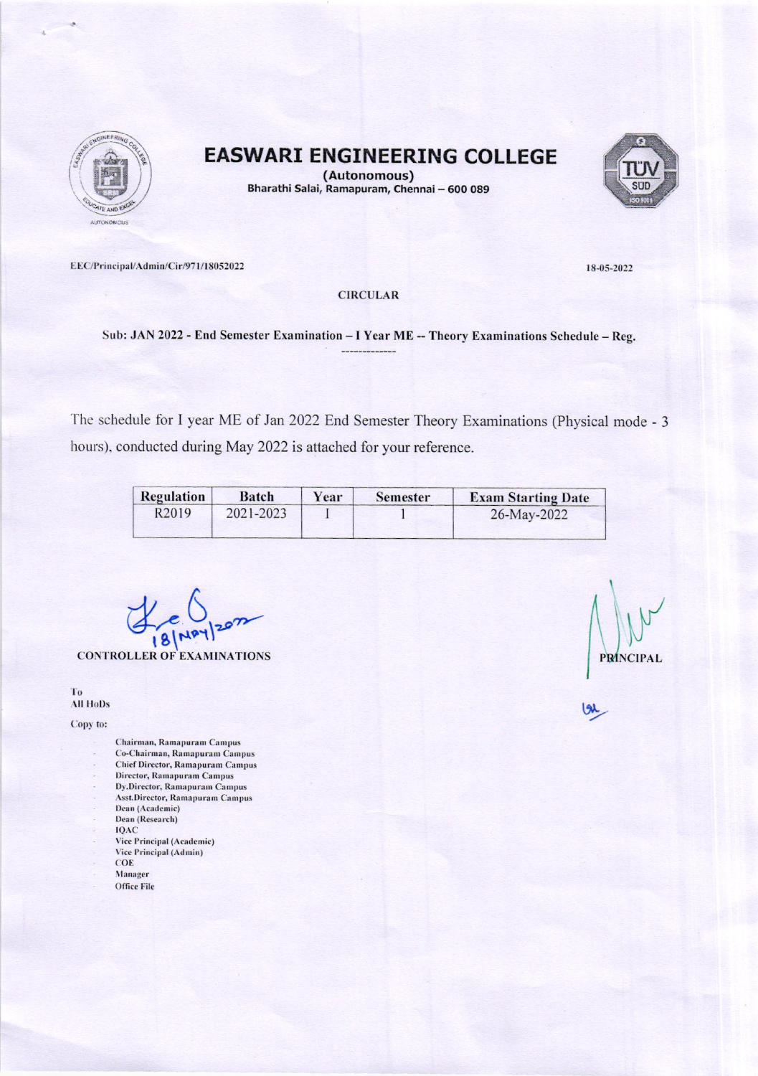

**EASWARI ENGINEERING COLLEGE** 



(Autonomous) Bharathi Salai, Ramapuram, Chennai - 600 089

EEC/Principal/Admin/Cir/971/18052022

18-05-2022

**CIRCULAR** 

Sub: JAN 2022 - End Semester Examination - I Year ME -- Theory Examinations Schedule - Reg.

The schedule for I year ME of Jan 2022 End Semester Theory Examinations (Physical mode - 3 hours), conducted during May 2022 is attached for your reference.

| Regulation        | Batch     | Year | <b>Semester</b> | <b>Exam Starting Date</b> |
|-------------------|-----------|------|-----------------|---------------------------|
| R <sub>2019</sub> | 2021-2023 |      |                 | 26-May-2022               |

**CONTROLLER OF EXAMINATIONS** 

T<sub>0</sub> All HoDs

Copy to:

- Chairman, Ramapuram Campus
- Co-Chairman, Ramapuram Campus **Chief Director, Ramapuram Campus**
- Director, Ramapuram Campus
- Dy.Director, Ramapuram Campus
- Asst.Director, Ramapuram Campus
- Dean (Academic)
- Dean (Research)
- **IQAC**
- Vice Principal (Academic)
- Vice Principal (Admin) COE
- 
- Manager **Office File**

**PRÍNCIPAL**